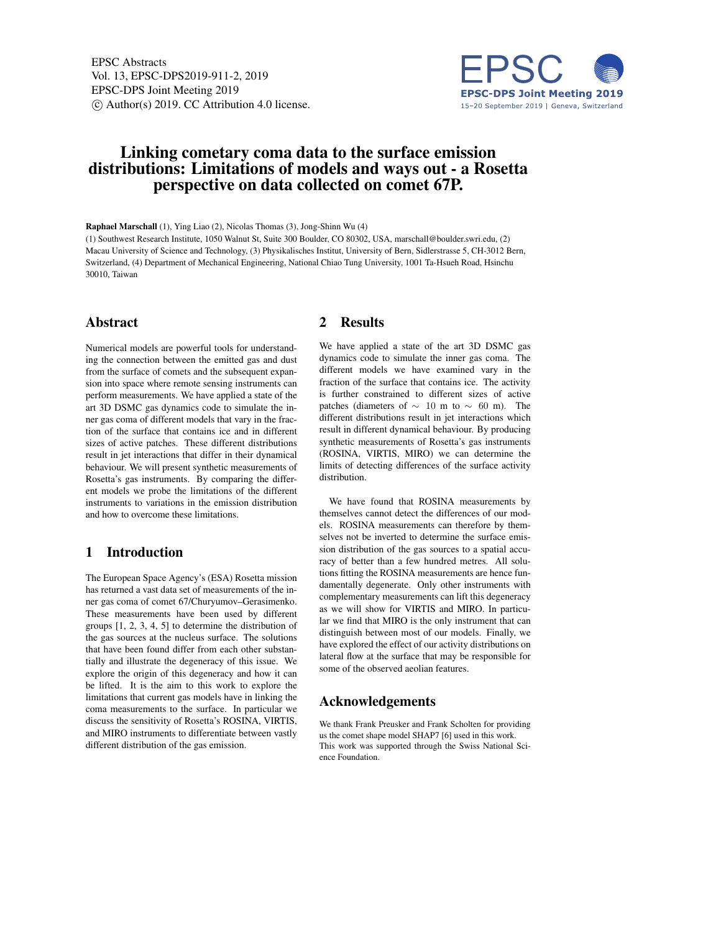EPSC Abstracts Vol. 13, EPSC-DPS2019-911-2, 2019 EPSC-DPS Joint Meeting 2019  $\circ$  Author(s) 2019. CC Attribution 4.0 license.



# Linking cometary coma data to the surface emission distributions: Limitations of models and ways out - a Rosetta perspective on data collected on comet 67P.

Raphael Marschall (1), Ying Liao (2), Nicolas Thomas (3), Jong-Shinn Wu (4)

(1) Southwest Research Institute, 1050 Walnut St, Suite 300 Boulder, CO 80302, USA, marschall@boulder.swri.edu, (2) Macau University of Science and Technology, (3) Physikalisches Institut, University of Bern, Sidlerstrasse 5, CH-3012 Bern, Switzerland, (4) Department of Mechanical Engineering, National Chiao Tung University, 1001 Ta-Hsueh Road, Hsinchu 30010, Taiwan

#### Abstract

Numerical models are powerful tools for understanding the connection between the emitted gas and dust from the surface of comets and the subsequent expansion into space where remote sensing instruments can perform measurements. We have applied a state of the art 3D DSMC gas dynamics code to simulate the inner gas coma of different models that vary in the fraction of the surface that contains ice and in different sizes of active patches. These different distributions result in jet interactions that differ in their dynamical behaviour. We will present synthetic measurements of Rosetta's gas instruments. By comparing the different models we probe the limitations of the different instruments to variations in the emission distribution and how to overcome these limitations.

## 1 Introduction

The European Space Agency's (ESA) Rosetta mission has returned a vast data set of measurements of the inner gas coma of comet 67/Churyumov–Gerasimenko. These measurements have been used by different groups [1, 2, 3, 4, 5] to determine the distribution of the gas sources at the nucleus surface. The solutions that have been found differ from each other substantially and illustrate the degeneracy of this issue. We explore the origin of this degeneracy and how it can be lifted. It is the aim to this work to explore the limitations that current gas models have in linking the coma measurements to the surface. In particular we discuss the sensitivity of Rosetta's ROSINA, VIRTIS, and MIRO instruments to differentiate between vastly different distribution of the gas emission.

### 2 Results

We have applied a state of the art 3D DSMC gas dynamics code to simulate the inner gas coma. The different models we have examined vary in the fraction of the surface that contains ice. The activity is further constrained to different sizes of active patches (diameters of  $\sim$  10 m to  $\sim$  60 m). The different distributions result in jet interactions which result in different dynamical behaviour. By producing synthetic measurements of Rosetta's gas instruments (ROSINA, VIRTIS, MIRO) we can determine the limits of detecting differences of the surface activity distribution.

We have found that ROSINA measurements by themselves cannot detect the differences of our models. ROSINA measurements can therefore by themselves not be inverted to determine the surface emission distribution of the gas sources to a spatial accuracy of better than a few hundred metres. All solutions fitting the ROSINA measurements are hence fundamentally degenerate. Only other instruments with complementary measurements can lift this degeneracy as we will show for VIRTIS and MIRO. In particular we find that MIRO is the only instrument that can distinguish between most of our models. Finally, we have explored the effect of our activity distributions on lateral flow at the surface that may be responsible for some of the observed aeolian features.

#### Acknowledgements

We thank Frank Preusker and Frank Scholten for providing us the comet shape model SHAP7 [6] used in this work. This work was supported through the Swiss National Science Foundation.